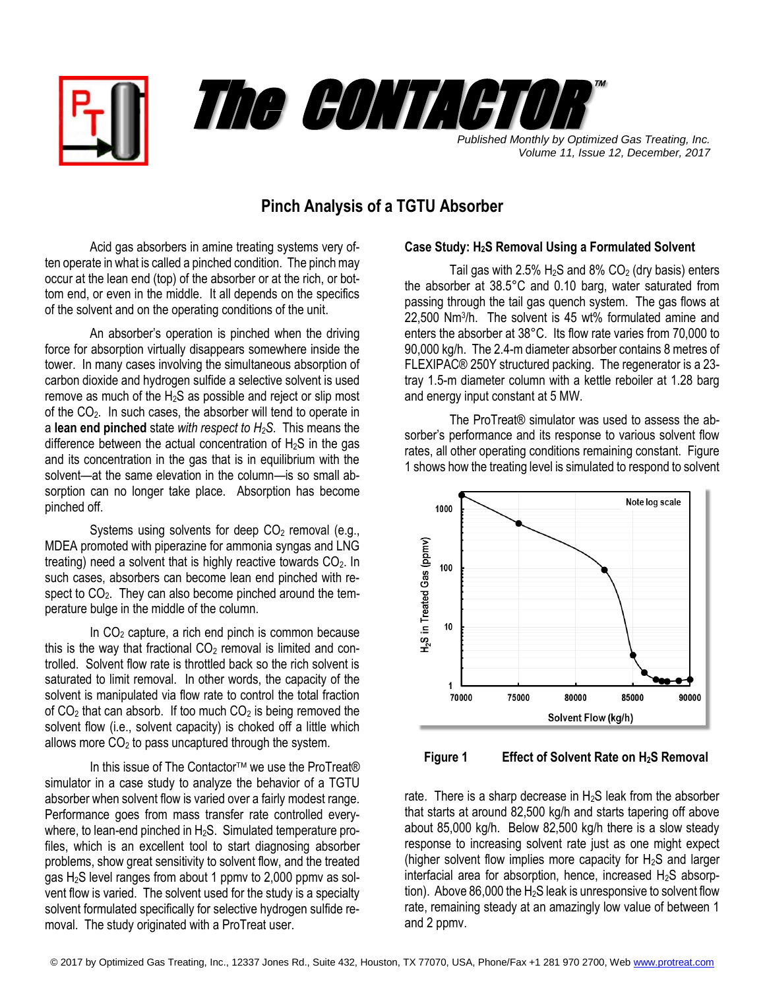



*Volume 11, Issue 12, December, 2017*

## **Pinch Analysis of a TGTU Absorber**

Acid gas absorbers in amine treating systems very often operate in what is called a pinched condition. The pinch may occur at the lean end (top) of the absorber or at the rich, or bottom end, or even in the middle. It all depends on the specifics of the solvent and on the operating conditions of the unit.

An absorber's operation is pinched when the driving force for absorption virtually disappears somewhere inside the tower. In many cases involving the simultaneous absorption of carbon dioxide and hydrogen sulfide a selective solvent is used remove as much of the  $H_2S$  as possible and reject or slip most of the CO<sub>2</sub>. In such cases, the absorber will tend to operate in a **lean end pinched** state *with respect to H2S*. This means the difference between the actual concentration of  $H_2S$  in the gas and its concentration in the gas that is in equilibrium with the solvent—at the same elevation in the column—is so small absorption can no longer take place. Absorption has become pinched off.

Systems using solvents for deep  $CO<sub>2</sub>$  removal (e.g., MDEA promoted with piperazine for ammonia syngas and LNG treating) need a solvent that is highly reactive towards  $CO<sub>2</sub>$ . In such cases, absorbers can become lean end pinched with respect to  $CO<sub>2</sub>$ . They can also become pinched around the temperature bulge in the middle of the column.

In  $CO<sub>2</sub>$  capture, a rich end pinch is common because this is the way that fractional  $CO<sub>2</sub>$  removal is limited and controlled. Solvent flow rate is throttled back so the rich solvent is saturated to limit removal. In other words, the capacity of the solvent is manipulated via flow rate to control the total fraction of  $CO<sub>2</sub>$  that can absorb. If too much  $CO<sub>2</sub>$  is being removed the solvent flow (i.e., solvent capacity) is choked off a little which allows more  $CO<sub>2</sub>$  to pass uncaptured through the system.

In this issue of The Contactor<sup>™</sup> we use the ProTreat® simulator in a case study to analyze the behavior of a TGTU absorber when solvent flow is varied over a fairly modest range. Performance goes from mass transfer rate controlled everywhere, to lean-end pinched in H<sub>2</sub>S. Simulated temperature profiles, which is an excellent tool to start diagnosing absorber problems, show great sensitivity to solvent flow, and the treated gas  $H_2S$  level ranges from about 1 ppmv to 2,000 ppmv as solvent flow is varied. The solvent used for the study is a specialty solvent formulated specifically for selective hydrogen sulfide removal. The study originated with a ProTreat user.

## **Case Study: H2S Removal Using a Formulated Solvent**

Tail gas with 2.5%  $H_2S$  and 8%  $CO_2$  (dry basis) enters the absorber at 38.5°C and 0.10 barg, water saturated from passing through the tail gas quench system. The gas flows at 22,500 Nm<sup>3</sup> /h. The solvent is 45 wt% formulated amine and enters the absorber at 38°C. Its flow rate varies from 70,000 to 90,000 kg/h. The 2.4-m diameter absorber contains 8 metres of FLEXIPAC® 250Y structured packing. The regenerator is a 23 tray 1.5-m diameter column with a kettle reboiler at 1.28 barg and energy input constant at 5 MW.

The ProTreat® simulator was used to assess the absorber's performance and its response to various solvent flow rates, all other operating conditions remaining constant. Figure 1 shows how the treating level is simulated to respond to solvent



 **Figure 1 Effect of Solvent Rate on H2S Removal** 

rate. There is a sharp decrease in  $H_2S$  leak from the absorber that starts at around 82,500 kg/h and starts tapering off above about 85,000 kg/h. Below 82,500 kg/h there is a slow steady response to increasing solvent rate just as one might expect (higher solvent flow implies more capacity for  $H_2S$  and larger interfacial area for absorption, hence, increased  $H_2S$  absorption). Above 86,000 the H<sub>2</sub>S leak is unresponsive to solvent flow rate, remaining steady at an amazingly low value of between 1 and 2 ppmv.